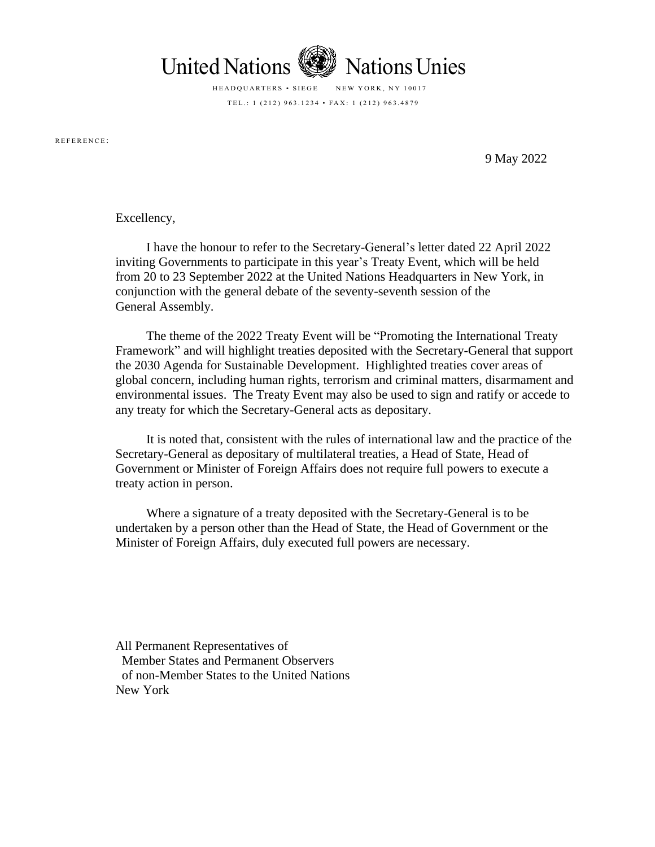

HEADQUARTERS • SIEGE NEW YORK, NY 10017 TEL .: 1 (212)  $963.1234 \cdot FAX$ : 1 (212)  $963.4879$ 

R E F E R E N C E :

9 May 2022

## Excellency,

I have the honour to refer to the Secretary-General's letter dated 22 April 2022 inviting Governments to participate in this year's Treaty Event, which will be held from 20 to 23 September 2022 at the United Nations Headquarters in New York, in conjunction with the general debate of the seventy-seventh session of the General Assembly.

The theme of the 2022 Treaty Event will be "Promoting the International Treaty Framework" and will highlight treaties deposited with the Secretary-General that support the 2030 Agenda for Sustainable Development. Highlighted treaties cover areas of global concern, including human rights, terrorism and criminal matters, disarmament and environmental issues. The Treaty Event may also be used to sign and ratify or accede to any treaty for which the Secretary-General acts as depositary.

It is noted that, consistent with the rules of international law and the practice of the Secretary-General as depositary of multilateral treaties, a Head of State, Head of Government or Minister of Foreign Affairs does not require full powers to execute a treaty action in person.

Where a signature of a treaty deposited with the Secretary-General is to be undertaken by a person other than the Head of State, the Head of Government or the Minister of Foreign Affairs, duly executed full powers are necessary.

All Permanent Representatives of Member States and Permanent Observers of non-Member States to the United Nations New York